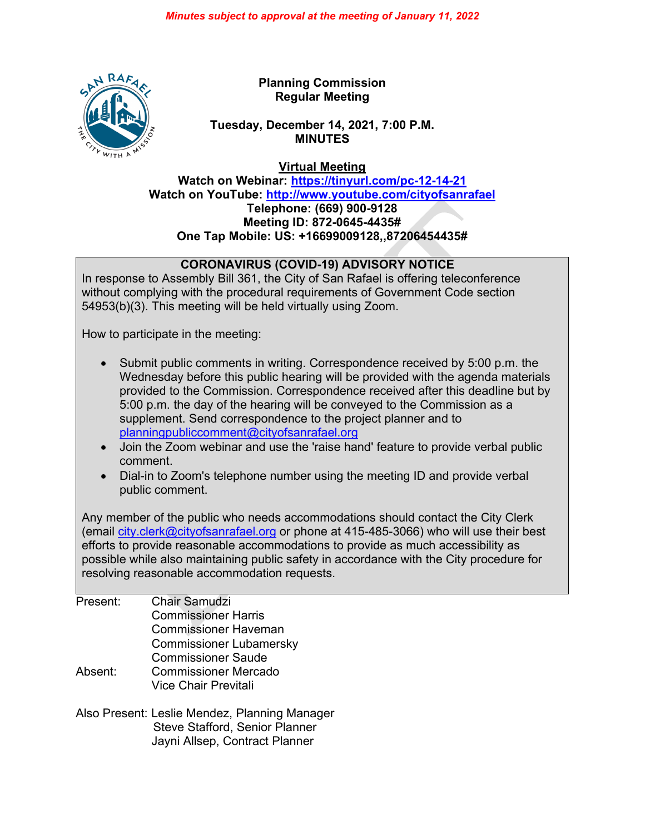

**Planning Commission Regular Meeting**

## **Tuesday, December 14, 2021, 7:00 P.M. MINUTES**

**Virtual Meeting**

**Watch on Webinar: <https://tinyurl.com/pc-12-14-21> Watch on YouTube:<http://www.youtube.com/cityofsanrafael> Telephone: (669) 900-9128 Meeting ID: 872-0645-4435# One Tap Mobile: US: +16699009128,,87206454435#**

## **CORONAVIRUS (COVID-19) ADVISORY NOTICE**

In response to Assembly Bill 361, the City of San Rafael is offering teleconference without complying with the procedural requirements of Government Code section 54953(b)(3). This meeting will be held virtually using Zoom.

How to participate in the meeting:

- Submit public comments in writing. Correspondence received by 5:00 p.m. the Wednesday before this public hearing will be provided with the agenda materials provided to the Commission. Correspondence received after this deadline but by 5:00 p.m. the day of the hearing will be conveyed to the Commission as a supplement. Send correspondence to the project planner and to [planningpubliccomment@cityofsanrafael.org](mailto:planningpubliccomment@cityofsanrafael.org)
- Join the Zoom webinar and use the 'raise hand' feature to provide verbal public comment.
- Dial-in to Zoom's telephone number using the meeting ID and provide verbal public comment.

Any member of the public who needs accommodations should contact the City Clerk (email [city.clerk@cityofsanrafael.org](mailto:city.clerk@cityofsanrafael.org) or phone at 415-485-3066) who will use their best efforts to provide reasonable accommodations to provide as much accessibility as possible while also maintaining public safety in accordance with the City procedure for resolving reasonable accommodation requests.

Present: Chair Samudzi Commissioner Harris Commissioner Haveman Commissioner Lubamersky Commissioner Saude Absent: Commissioner Mercado Vice Chair Previtali

Also Present: Leslie Mendez, Planning Manager Steve Stafford, Senior Planner Jayni Allsep, Contract Planner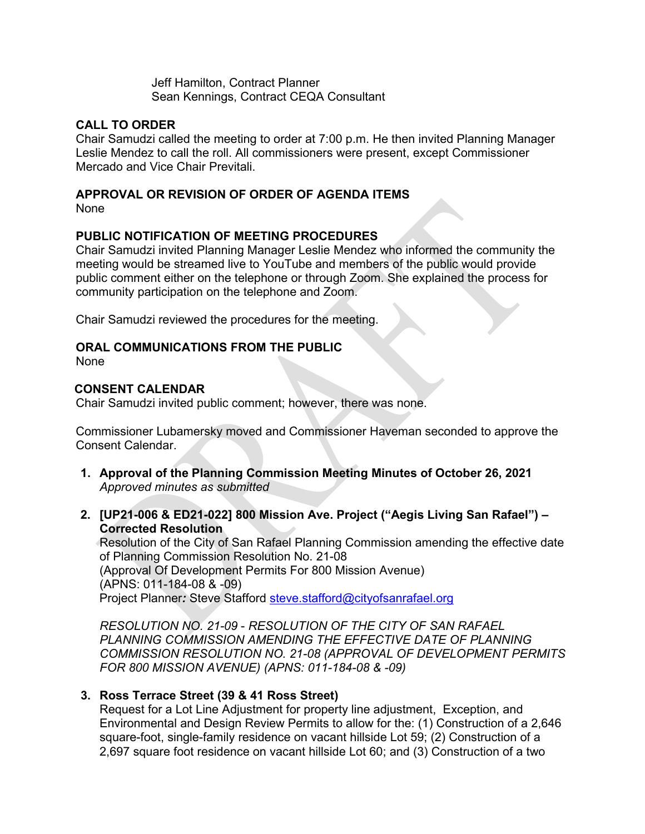Jeff Hamilton, Contract Planner Sean Kennings, Contract CEQA Consultant

## **CALL TO ORDER**

Chair Samudzi called the meeting to order at 7:00 p.m. He then invited Planning Manager Leslie Mendez to call the roll. All commissioners were present, except Commissioner Mercado and Vice Chair Previtali.

# **APPROVAL OR REVISION OF ORDER OF AGENDA ITEMS**

None

## **PUBLIC NOTIFICATION OF MEETING PROCEDURES**

Chair Samudzi invited Planning Manager Leslie Mendez who informed the community the meeting would be streamed live to YouTube and members of the public would provide public comment either on the telephone or through Zoom. She explained the process for community participation on the telephone and Zoom.

Chair Samudzi reviewed the procedures for the meeting.

## **ORAL COMMUNICATIONS FROM THE PUBLIC**

None

#### **CONSENT CALENDAR**

Chair Samudzi invited public comment; however, there was none.

Commissioner Lubamersky moved and Commissioner Haveman seconded to approve the Consent Calendar.

- **1. Approval of the Planning Commission Meeting Minutes of October 26, 2021** *Approved minutes as submitted*
- **2. [UP21-006 & ED21-022] 800 Mission Ave. Project ("Aegis Living San Rafael") – Corrected Resolution**

Resolution of the City of San Rafael Planning Commission amending the effective date of Planning Commission Resolution No. 21-08 (Approval Of Development Permits For 800 Mission Avenue) (APNS: 011-184-08 & -09) Project Planner*:* Steve Stafford [steve.stafford@cityofsanrafael.org](mailto:steve.stafford@cityofsanrafael.org)

*RESOLUTION NO. 21-09* - *RESOLUTION OF THE CITY OF SAN RAFAEL PLANNING COMMISSION AMENDING THE EFFECTIVE DATE OF PLANNING COMMISSION RESOLUTION NO. 21-08 (APPROVAL OF DEVELOPMENT PERMITS FOR 800 MISSION AVENUE) (APNS: 011-184-08 & -09)*

## **3. Ross Terrace Street (39 & 41 Ross Street)**

Request for a Lot Line Adjustment for property line adjustment, Exception, and Environmental and Design Review Permits to allow for the: (1) Construction of a 2,646 square-foot, single-family residence on vacant hillside Lot 59; (2) Construction of a 2,697 square foot residence on vacant hillside Lot 60; and (3) Construction of a two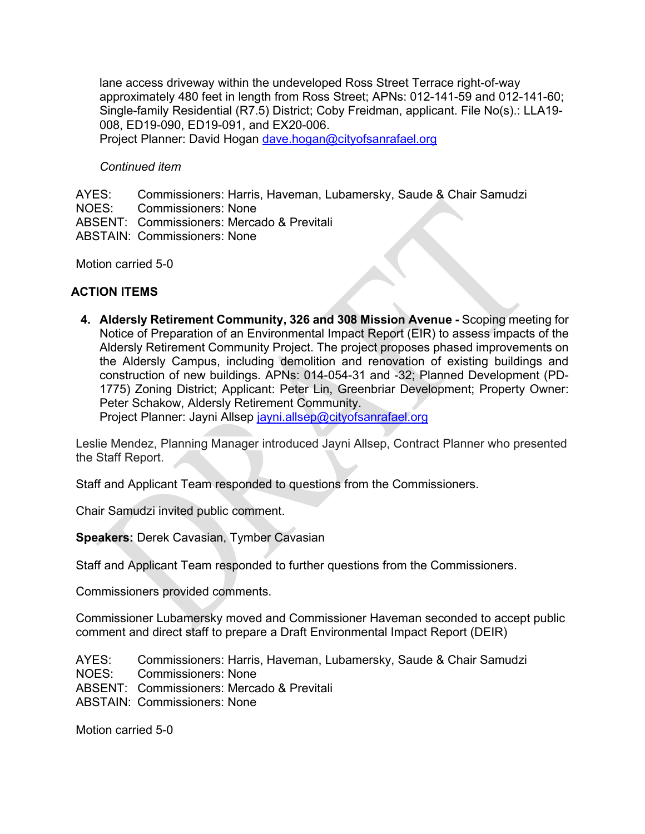lane access driveway within the undeveloped Ross Street Terrace right-of-way approximately 480 feet in length from Ross Street; APNs: 012-141-59 and 012-141-60; Single-family Residential (R7.5) District; Coby Freidman, applicant. File No(s).: LLA19- 008, ED19-090, ED19-091, and EX20-006.

Project Planner: David Hogan [dave.hogan@cityofsanrafael.org](mailto:dave.hogan@cityofsanrafael.org)

#### *Continued item*

AYES: Commissioners: Harris, Haveman, Lubamersky, Saude & Chair Samudzi NOES: Commissioners: None ABSENT: Commissioners: Mercado & Previtali ABSTAIN: Commissioners: None

Motion carried 5-0

#### **ACTION ITEMS**

**4. Aldersly Retirement Community, 326 and 308 Mission Avenue -** Scoping meeting for Notice of Preparation of an Environmental Impact Report (EIR) to assess impacts of the Aldersly Retirement Community Project. The project proposes phased improvements on the Aldersly Campus, including demolition and renovation of existing buildings and construction of new buildings. APNs: 014-054-31 and -32; Planned Development (PD-1775) Zoning District; Applicant: Peter Lin, Greenbriar Development; Property Owner: Peter Schakow, Aldersly Retirement Community.

Project Planner: Jayni Allsep [jayni.allsep@cityofsanrafael.org](mailto:jayni.allsep@cityofsanrafael.org)

Leslie Mendez, Planning Manager introduced Jayni Allsep, Contract Planner who presented the Staff Report.

Staff and Applicant Team responded to questions from the Commissioners.

Chair Samudzi invited public comment.

**Speakers:** Derek Cavasian, Tymber Cavasian

Staff and Applicant Team responded to further questions from the Commissioners.

Commissioners provided comments.

Commissioner Lubamersky moved and Commissioner Haveman seconded to accept public comment and direct staff to prepare a Draft Environmental Impact Report (DEIR)

AYES: Commissioners: Harris, Haveman, Lubamersky, Saude & Chair Samudzi NOES: Commissioners: None ABSENT: Commissioners: Mercado & Previtali ABSTAIN: Commissioners: None

Motion carried 5-0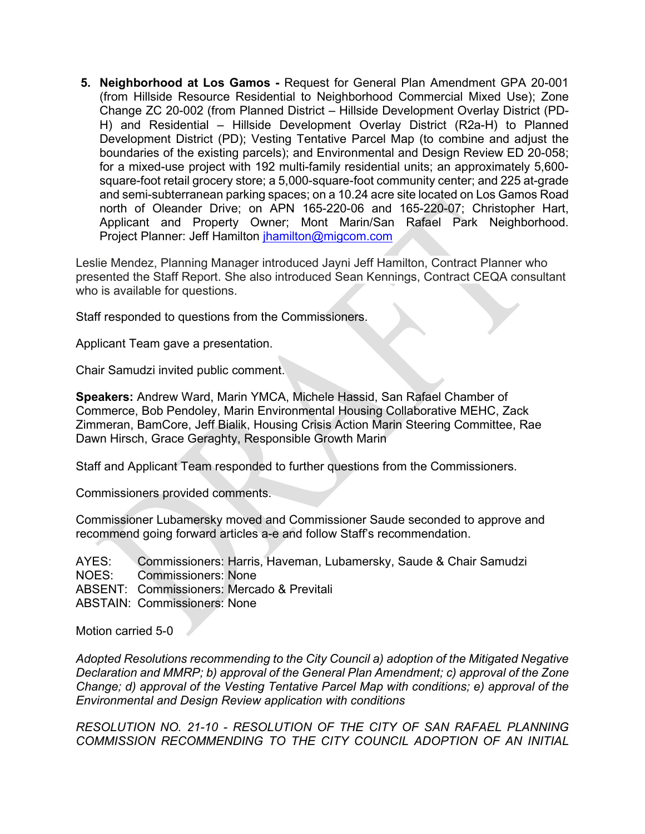**5. Neighborhood at Los Gamos -** Request for General Plan Amendment GPA 20-001 (from Hillside Resource Residential to Neighborhood Commercial Mixed Use); Zone Change ZC 20-002 (from Planned District – Hillside Development Overlay District (PD-H) and Residential – Hillside Development Overlay District (R2a-H) to Planned Development District (PD); Vesting Tentative Parcel Map (to combine and adjust the boundaries of the existing parcels); and Environmental and Design Review ED 20-058; for a mixed-use project with 192 multi-family residential units; an approximately 5,600 square-foot retail grocery store; a 5,000-square-foot community center; and 225 at-grade and semi-subterranean parking spaces; on a 10.24 acre site located on Los Gamos Road north of Oleander Drive; on APN 165-220-06 and 165-220-07; Christopher Hart, Applicant and Property Owner; Mont Marin/San Rafael Park Neighborhood. Project Planner: Jeff Hamilton [jhamilton@migcom.com](mailto:jhamilton@migcom.com)

Leslie Mendez, Planning Manager introduced Jayni Jeff Hamilton, Contract Planner who presented the Staff Report. She also introduced Sean Kennings, Contract CEQA consultant who is available for questions.

Staff responded to questions from the Commissioners.

Applicant Team gave a presentation.

Chair Samudzi invited public comment.

**Speakers:** Andrew Ward, Marin YMCA, Michele Hassid, San Rafael Chamber of Commerce, Bob Pendoley, Marin Environmental Housing Collaborative MEHC, Zack Zimmeran, BamCore, Jeff Bialik, Housing Crisis Action Marin Steering Committee, Rae Dawn Hirsch, Grace Geraghty, Responsible Growth Marin

Staff and Applicant Team responded to further questions from the Commissioners.

Commissioners provided comments.

Commissioner Lubamersky moved and Commissioner Saude seconded to approve and recommend going forward articles a-e and follow Staff's recommendation.

AYES: Commissioners: Harris, Haveman, Lubamersky, Saude & Chair Samudzi NOES: Commissioners: None ABSENT: Commissioners: Mercado & Previtali ABSTAIN: Commissioners: None

Motion carried 5-0

*Adopted Resolutions recommending to the City Council a) adoption of the Mitigated Negative Declaration and MMRP; b) approval of the General Plan Amendment; c) approval of the Zone Change; d) approval of the Vesting Tentative Parcel Map with conditions; e) approval of the Environmental and Design Review application with conditions*

*RESOLUTION NO. 21-10 - RESOLUTION OF THE CITY OF SAN RAFAEL PLANNING COMMISSION RECOMMENDING TO THE CITY COUNCIL ADOPTION OF AN INITIAL*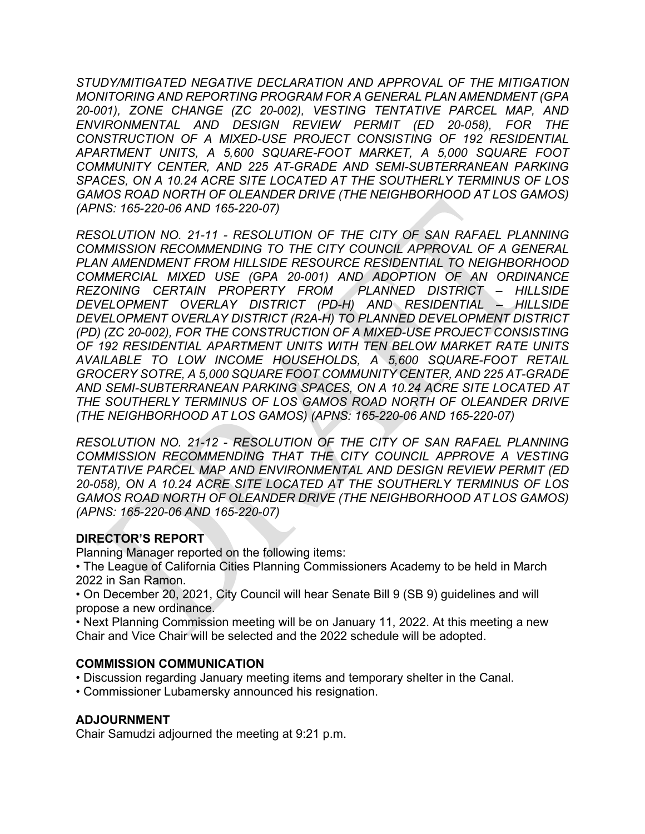*STUDY/MITIGATED NEGATIVE DECLARATION AND APPROVAL OF THE MITIGATION MONITORING AND REPORTING PROGRAM FOR A GENERAL PLAN AMENDMENT (GPA 20-001), ZONE CHANGE (ZC 20-002), VESTING TENTATIVE PARCEL MAP, AND ENVIRONMENTAL AND DESIGN REVIEW PERMIT (ED 20-058), FOR THE CONSTRUCTION OF A MIXED-USE PROJECT CONSISTING OF 192 RESIDENTIAL APARTMENT UNITS, A 5,600 SQUARE-FOOT MARKET, A 5,000 SQUARE FOOT COMMUNITY CENTER, AND 225 AT-GRADE AND SEMI-SUBTERRANEAN PARKING SPACES, ON A 10.24 ACRE SITE LOCATED AT THE SOUTHERLY TERMINUS OF LOS GAMOS ROAD NORTH OF OLEANDER DRIVE (THE NEIGHBORHOOD AT LOS GAMOS) (APNS: 165-220-06 AND 165-220-07)*

*RESOLUTION NO. 21-11 - RESOLUTION OF THE CITY OF SAN RAFAEL PLANNING COMMISSION RECOMMENDING TO THE CITY COUNCIL APPROVAL OF A GENERAL PLAN AMENDMENT FROM HILLSIDE RESOURCE RESIDENTIAL TO NEIGHBORHOOD COMMERCIAL MIXED USE (GPA 20-001) AND ADOPTION OF AN ORDINANCE REZONING CERTAIN PROPERTY FROM PLANNED DISTRICT – HILLSIDE DEVELOPMENT OVERLAY DISTRICT (PD-H) AND RESIDENTIAL – HILLSIDE DEVELOPMENT OVERLAY DISTRICT (R2A-H) TO PLANNED DEVELOPMENT DISTRICT (PD) (ZC 20-002), FOR THE CONSTRUCTION OF A MIXED-USE PROJECT CONSISTING OF 192 RESIDENTIAL APARTMENT UNITS WITH TEN BELOW MARKET RATE UNITS AVAILABLE TO LOW INCOME HOUSEHOLDS, A 5,600 SQUARE-FOOT RETAIL GROCERY SOTRE, A 5,000 SQUARE FOOT COMMUNITY CENTER, AND 225 AT-GRADE AND SEMI-SUBTERRANEAN PARKING SPACES, ON A 10.24 ACRE SITE LOCATED AT THE SOUTHERLY TERMINUS OF LOS GAMOS ROAD NORTH OF OLEANDER DRIVE (THE NEIGHBORHOOD AT LOS GAMOS) (APNS: 165-220-06 AND 165-220-07)*

*RESOLUTION NO. 21-12 - RESOLUTION OF THE CITY OF SAN RAFAEL PLANNING COMMISSION RECOMMENDING THAT THE CITY COUNCIL APPROVE A VESTING TENTATIVE PARCEL MAP AND ENVIRONMENTAL AND DESIGN REVIEW PERMIT (ED 20-058), ON A 10.24 ACRE SITE LOCATED AT THE SOUTHERLY TERMINUS OF LOS GAMOS ROAD NORTH OF OLEANDER DRIVE (THE NEIGHBORHOOD AT LOS GAMOS) (APNS: 165-220-06 AND 165-220-07)*

## **DIRECTOR'S REPORT**

Planning Manager reported on the following items:

• The League of California Cities Planning Commissioners Academy to be held in March 2022 in San Ramon.

• On December 20, 2021, City Council will hear Senate Bill 9 (SB 9) guidelines and will propose a new ordinance.

• Next Planning Commission meeting will be on January 11, 2022. At this meeting a new Chair and Vice Chair will be selected and the 2022 schedule will be adopted.

#### **COMMISSION COMMUNICATION**

- Discussion regarding January meeting items and temporary shelter in the Canal.
- Commissioner Lubamersky announced his resignation.

#### **ADJOURNMENT**

Chair Samudzi adjourned the meeting at 9:21 p.m.